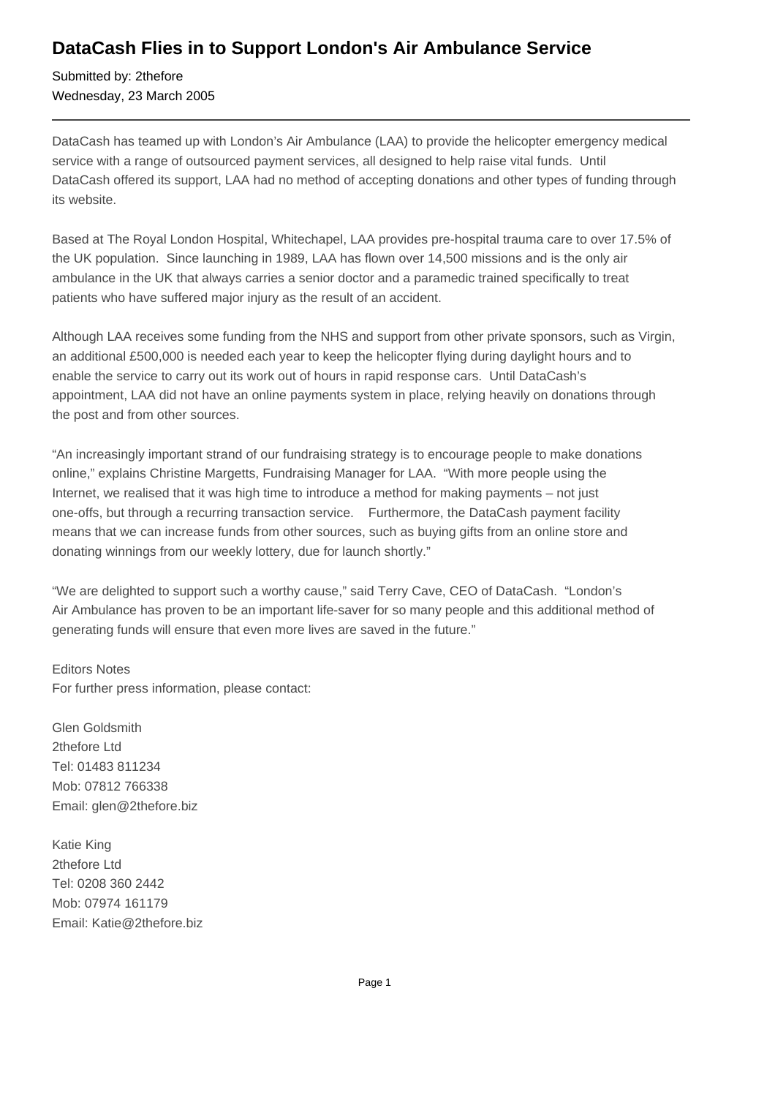## **DataCash Flies in to Support London's Air Ambulance Service**

Submitted by: 2thefore Wednesday, 23 March 2005

DataCash has teamed up with London's Air Ambulance (LAA) to provide the helicopter emergency medical service with a range of outsourced payment services, all designed to help raise vital funds. Until DataCash offered its support, LAA had no method of accepting donations and other types of funding through its website.

Based at The Royal London Hospital, Whitechapel, LAA provides pre-hospital trauma care to over 17.5% of the UK population. Since launching in 1989, LAA has flown over 14,500 missions and is the only air ambulance in the UK that always carries a senior doctor and a paramedic trained specifically to treat patients who have suffered major injury as the result of an accident.

Although LAA receives some funding from the NHS and support from other private sponsors, such as Virgin, an additional £500,000 is needed each year to keep the helicopter flying during daylight hours and to enable the service to carry out its work out of hours in rapid response cars. Until DataCash's appointment, LAA did not have an online payments system in place, relying heavily on donations through the post and from other sources.

"An increasingly important strand of our fundraising strategy is to encourage people to make donations online," explains Christine Margetts, Fundraising Manager for LAA. "With more people using the Internet, we realised that it was high time to introduce a method for making payments – not just one-offs, but through a recurring transaction service. Furthermore, the DataCash payment facility means that we can increase funds from other sources, such as buying gifts from an online store and donating winnings from our weekly lottery, due for launch shortly."

"We are delighted to support such a worthy cause," said Terry Cave, CEO of DataCash. "London's Air Ambulance has proven to be an important life-saver for so many people and this additional method of generating funds will ensure that even more lives are saved in the future."

Editors Notes For further press information, please contact:

Glen Goldsmith 2thefore Ltd Tel: 01483 811234 Mob: 07812 766338 Email: glen@2thefore.biz

Katie King 2thefore Ltd Tel: 0208 360 2442 Mob: 07974 161179 Email: Katie@2thefore.biz